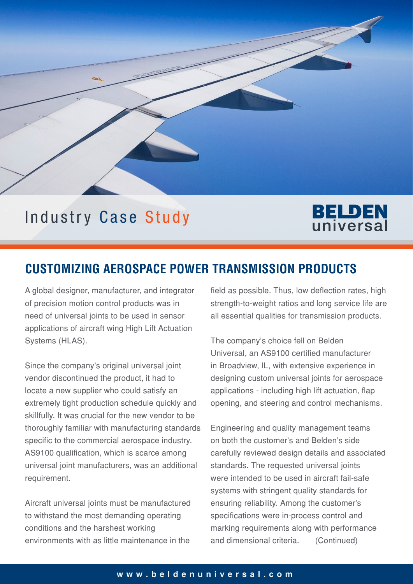

# **BELDEN** universal

## **CUSTOMIZING AEROSPACE POWER TRANSMISSION PRODUCTS**

A global designer, manufacturer, and integrator of precision motion control products was in need of universal joints to be used in sensor applications of aircraft wing High Lift Actuation Systems (HLAS).

Since the company's original universal joint vendor discontinued the product, it had to locate a new supplier who could satisfy an extremely tight production schedule quickly and skillfully. It was crucial for the new vendor to be thoroughly familiar with manufacturing standards specific to the commercial aerospace industry. AS9100 qualification, which is scarce among universal joint manufacturers, was an additional requirement.

Aircraft universal joints must be manufactured to withstand the most demanding operating conditions and the harshest working environments with as little maintenance in the

field as possible. Thus, low deflection rates, high strength-to-weight ratios and long service life are all essential qualities for transmission products.

The company's choice fell on Belden Universal, an AS9100 certified manufacturer in Broadview, IL, with extensive experience in designing custom universal joints for aerospace applications - including high lift actuation, flap opening, and steering and control mechanisms.

Engineering and quality management teams on both the customer's and Belden's side carefully reviewed design details and associated standards. The requested universal joints were intended to be used in aircraft fail-safe systems with stringent quality standards for ensuring reliability. Among the customer's specifications were in-process control and marking requirements along with performance and dimensional criteria. (Continued)